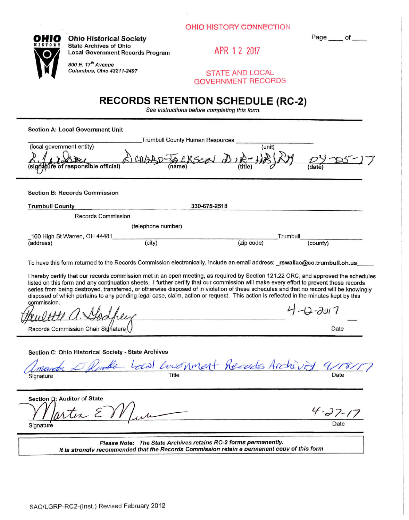

**OHIO** Ohio Historical Society **CHIO Page** of <u>CHIO</u> **State Archives of Ohio Local Government Records Program APR 1 2 2017** 

m • *800 E. If" Avenue* 

 $STATE AND LOCAL$ **GOVERNMENT RECORDS** 

# **RECORDS RETENTION SCHEDULE (RC-2)**

*See instructions before completing this fomi.* 

**Section A: Local Government Unit** 

| Trumbull County Human Resources                                                                                                                                                                                                                                                                                                                                                                                                                                                                                                                                                                                                                                                                             |                                          |                       |
|-------------------------------------------------------------------------------------------------------------------------------------------------------------------------------------------------------------------------------------------------------------------------------------------------------------------------------------------------------------------------------------------------------------------------------------------------------------------------------------------------------------------------------------------------------------------------------------------------------------------------------------------------------------------------------------------------------------|------------------------------------------|-----------------------|
| (local government entity)<br>ure of responsible official<br>(siań                                                                                                                                                                                                                                                                                                                                                                                                                                                                                                                                                                                                                                           | (unit)                                   |                       |
| <b>Section B: Records Commission</b>                                                                                                                                                                                                                                                                                                                                                                                                                                                                                                                                                                                                                                                                        |                                          |                       |
| 330-675-2518<br><b>Trumbull County</b>                                                                                                                                                                                                                                                                                                                                                                                                                                                                                                                                                                                                                                                                      |                                          |                       |
| Records Commission                                                                                                                                                                                                                                                                                                                                                                                                                                                                                                                                                                                                                                                                                          |                                          |                       |
| (telephone number)                                                                                                                                                                                                                                                                                                                                                                                                                                                                                                                                                                                                                                                                                          |                                          |                       |
| 160 High St Warren, OH 44481<br>(city)                                                                                                                                                                                                                                                                                                                                                                                                                                                                                                                                                                                                                                                                      | Trumbull                                 |                       |
| (address)                                                                                                                                                                                                                                                                                                                                                                                                                                                                                                                                                                                                                                                                                                   | (zip code)                               | (county)              |
| To have this form returned to the Records Commission electronically, include an email address: rswallac@co.trumbull.oh.us<br>I hereby certify that our records commission met in an open meeting, as required by Section 121.22 ORC, and approved the schedules<br>listed on this form and any continuation sheets. I further certify that our commission will make every effort to prevent these records<br>series from being destroyed, transferred, or otherwise disposed of in violation of these schedules and that no record will be knowingly<br>disposed of which pertains to any pending legal case, claim, action or request. This action is reflected in the minutes kept by this<br>commission. |                                          | $4 - 12 - 3017$       |
|                                                                                                                                                                                                                                                                                                                                                                                                                                                                                                                                                                                                                                                                                                             |                                          |                       |
| Records Commission Chair Signature                                                                                                                                                                                                                                                                                                                                                                                                                                                                                                                                                                                                                                                                          |                                          | Date                  |
| Section C: Ohio Historical Society - State Archives<br>Rimble Local Government Records Archivit 411<br>Signature                                                                                                                                                                                                                                                                                                                                                                                                                                                                                                                                                                                            |                                          | Date                  |
| Section D: Auditor of State<br>rtis E<br>Signature                                                                                                                                                                                                                                                                                                                                                                                                                                                                                                                                                                                                                                                          |                                          | $4 - 27 - 17$<br>Date |
|                                                                                                                                                                                                                                                                                                                                                                                                                                                                                                                                                                                                                                                                                                             | Aughbrea vatatore DC 0 formo normanantly |                       |

*Please Note: The State Archives retains RC-2 forms permanently. It is stronalv recommended that the Records Commission retain a permanent copv of this form*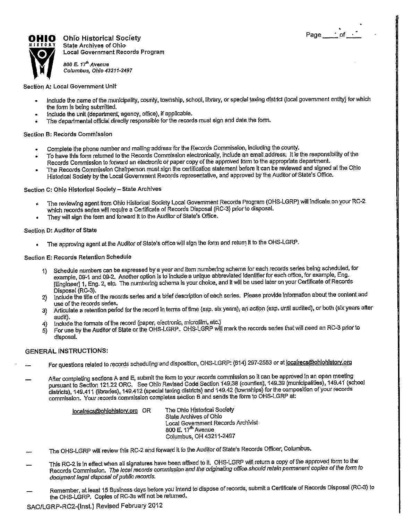

**Ohio Historical Society of the United States of the Page 10 of the Page 10 of the Page 10 of the Page 10 of the Page 10 of the Page 10 of the Page 10 of the Page 10 of the Page 10 of the Page 10 of the Page 10 of the Pa state Archiyea of Ohio Local Government Records Program** 

**800 E 77\* Avenue**  *Columbus, Ohio 43211-2497* 

**Section A: Local Government Unit** 

- **Include the name of the municipality, county, township, school, library, or special taxing dislrid (local government entity) for which the form Is being submitted.**
- **include the unit (department, agency, office), if applicable.**
- **The departmental official directly responsible for the records must sign and date the form.**  è

#### **Section B: Records Commission**

- **Complete the phone number and maiilng address for the Records Commission, including the county.**
- To have this form returned to the Records Commission electronically, include an email address; It is the responsibility of the Records Commission to forward an electronic or paper copy of the approved form to the appropriate department.
- **The Records Commission Chairperson must sign the certification statement before it can be reviewed and signed at the Ohio Historical Society by the Local Government Records representative, and approved by the Auditor of State's Office.**

**Section C: Ohio Historical Society - State Archives** 

- **The reviewing agent from Ohio Historical Socfety t^cal Government Records Program (OHS-LGRP), will Indicate, on your RC-2 which records series will require a Certificate of Records Disposal (RC-3) prior to disposal.**
- **They will sign the form and forward H to the Auditor of State's Office.**

#### **Sectipn D: Auditor of State**

**• The approving agent at the Auditor of State's office will sign the form and return It to the OHS-LGRP.** 

**Section E: Records Retention Schedule** 

- 1) Schedule numbers can be expressed by a year and item numbering scheme for each records series being scheduled, for example, 09-1 and 09-2. Another option is to include a unique abbreviated Identifier for each office, for example, Eng. **[Engineer] 1, Eng. 2, etc; The numbering schema Is your choice, and it will be used later on your Certificate of Records Disposal (RC-3).**
- **2) include the title of the records series arid a brief description of each series. Please provide Information about the content and use of the records series.**
- **3) Articulate a retenfion period for the recprd In terms of time (exp. six years); an action (exp. until audited), or both (six years after audit).**
- **4) Include the formats of the record (paper, electronic, microfilm, etc.)**
- **5) For use fay the Auditpr of State or the OHS-LGRP. OHS-LGRP wijl mark the records series that will need an RC-3 prior to disposal.**

### **GENERA L INSTRUCTIONS:**

- **For questions related to records scheduling and dlspdsltion, OHS-LGRP: (614) 297-2553 or at localrecs@ohiohlstorv.orq**
- After completing sections A and E, submit the form to your records commission so it can be approved in an open meeting pursuant to Section 121.22 ORC, See Ohio Revised Code Section 149:38 (counties), 149.39 (municipalities), 149.41 (school **districts), 149.411 (libraries), 149.412 (special taxing districts) and 149.42 (townships) for the composition of your records**  commission. Your records commission completes section B and sends the form to OHS-LGRP at:

**localrecs@ohlohlsforv.ora OR The Ohio Historical Society State Archives of Ohio Local Government Records Archivist 800 E. 17"^ Avenue Columbus, OH 43211-2497** 

- **The OHS-LGRP will review this RC-2 and, forward it to the Auditpr of State's Records Officer, Columbus.**
- **This RC-2 is in effect when all signatures have been affixed to ft. OHS-LGRP will return a copy of the approved form to the Records Commission. 7770** *local records commission and Ihe onginating office should reiain permanent copies of the form to document legal disposal of public records.*
- **Remember, at least 15 Business days before you intend to dispose of records, submit a Certificate of Records Disposal (RC-3) to the OHS-LGRP. Copies of RC-3s will'not be retumed.**

**SA0/LGRP-RC2-(lnst ) Revised February 2012**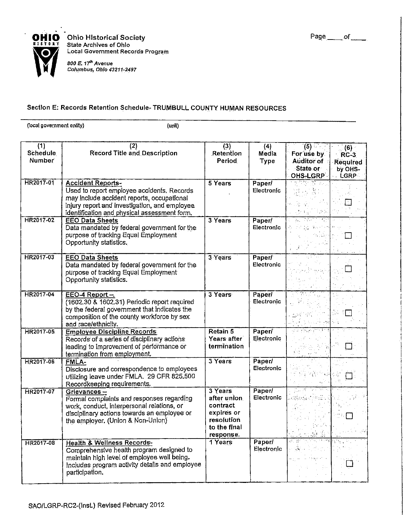

**Ohio Historical Society Contract of Society Page of <u>Contract of Bull</u>etin and Page of <u>Contract of </u> State Archives of Ohio Local Government Records Program** 

800 E. 17<sup>th</sup> Avenue *Columbus, Ohio 43211-2497* 

## **Section E: Records Retention Schedule- TRUMBULL COUNTY HUMAN RESOURCES**

(local government entity) (unit)

| (1)<br><b>Schedule</b><br><b>Number</b> | (2)<br><b>Record Title and Description</b>                                                                                                                                                                            | (3)<br>Retention<br><b>Period</b>                                                            | (4)<br>Media<br><b>Type</b> | $\overline{(5)}$<br>For use by<br><b>Auditor of</b><br>∴State or∵<br>OHS-LGRP                                                                                                                                                                     | (6)<br>RC-3<br><b>Required</b><br>by OHS-<br>LGRP |
|-----------------------------------------|-----------------------------------------------------------------------------------------------------------------------------------------------------------------------------------------------------------------------|----------------------------------------------------------------------------------------------|-----------------------------|---------------------------------------------------------------------------------------------------------------------------------------------------------------------------------------------------------------------------------------------------|---------------------------------------------------|
| HR2017-01                               | <b>Accident Reports-</b><br>Used to report employee accidents. Records<br>may include accident reports, occupational<br>Injury report and investigation, and employee<br>Identification and physical assessment form. | 5 Years                                                                                      | <b>Paper</b><br>Electronic  | $\omega_{\rm{max}}$ and $\omega_{\rm{max}}$<br>in terrori<br>网络海峡                                                                                                                                                                                 |                                                   |
| HR2017-02                               | <b>EEO Data Sheets</b><br>Data mandated by federal government for the<br>purpose of tracking Equal Employment<br>Opportunity statistics.                                                                              | 3 Years                                                                                      | Paper/<br>Electronic        | राज्य<br>3.7322<br>资金的 经原则<br>ma Palam                                                                                                                                                                                                            |                                                   |
| HR2017-03                               | <b>EEO Data Sheets</b><br>Data mandated by federal government for the<br>purpose of tracking Equal Employment<br>Opportunity statistics.                                                                              | 3 Years                                                                                      | <b>Paper/</b><br>Electronic | عزيهمي وأحماء                                                                                                                                                                                                                                     |                                                   |
| HR2017-04                               | EEO-4 Report -.<br>(1602.30 & 1602.31) Periodic report required<br>by the federal government that indicates the<br>composition of the county workforce by sex.<br>and race/ethnicity.                                 | 3 Years                                                                                      | Paper/<br>Electronic        | 再加工<br>a wet an form<br>$\label{eq:2.1} \frac{1}{2} \left( \frac{1}{2} \right) \left( \frac{1}{2} \right) \left( \frac{1}{2} \right) \left( \frac{1}{2} \right) \left( \frac{1}{2} \right) \left( \frac{1}{2} \right) \left( \frac{1}{2} \right)$ | रद्भ                                              |
| HR2017-05                               | <b>Employee Discipline Records</b><br>Records of a series of disciplinary actions<br>leading to improvement of performance or<br>termination from employment.                                                         | $\overline{Retain 5}$<br>Years after<br>termination                                          | Paper/<br>Electronic        | ्री मुद्र महार<br>$\gamma_{\rm th}=\delta_{\rm th}^{-3}$                                                                                                                                                                                          |                                                   |
| HR2017-06                               | FMLA-<br>Disclosure and correspondence to employees<br>utilizing leave under FMLA. 29 CFR 825.500<br>Recordkeeping requirements.                                                                                      | 3 Years                                                                                      | Paper/<br>Electronic        | रत पहुंच<br>解释性障                                                                                                                                                                                                                                  |                                                   |
| HR2017-07                               | Grievances-<br>Formal complaints and responses regarding<br>work, conduct, interpersonal relations, or<br>disciplinary actions towards an employee or<br>the employer. (Union & Non-Union)                            | 3 Years<br>after union.<br>contract<br>expires or<br>resolution<br>to the final<br>response. | Paper/<br>Electronic        | n og ste fra Tilbert<br>(磷酰胺-1 <sup>33</sup> ):最小是化正                                                                                                                                                                                              |                                                   |
| HR2017-08                               | <b>Health &amp; Wellness Records-</b><br>Comprehensive health program designed to<br>maintain high level of employee well being.<br>includes program activity details and employee<br>participation.                  | 1 Years                                                                                      | Paper/<br>Electronic        | <u>ਵਿਗਿਆਨ ਜਾਂਦਿ</u><br>yaka Mela<br>الحافظ موقوقا الشاريات<br>$\frac{1}{2}$ , ,                                                                                                                                                                   |                                                   |